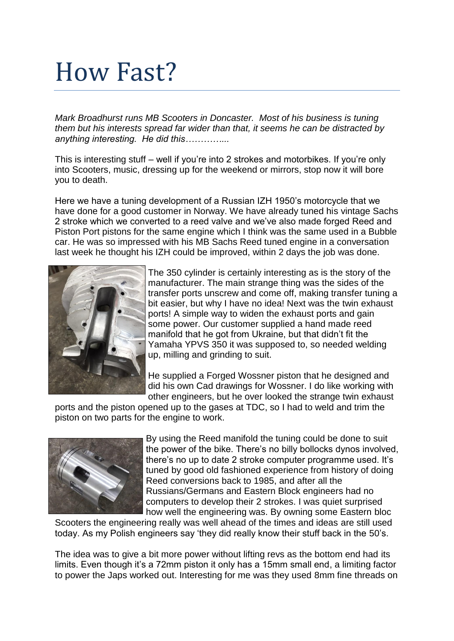## How Fast?

*Mark Broadhurst runs MB Scooters in Doncaster. Most of his business is tuning them but his interests spread far wider than that, it seems he can be distracted by anything interesting. He did this…………...*

This is interesting stuff – well if you're into 2 strokes and motorbikes. If you're only into Scooters, music, dressing up for the weekend or mirrors, stop now it will bore you to death.

Here we have a tuning development of a Russian IZH 1950's motorcycle that we have done for a good customer in Norway. We have already tuned his vintage Sachs 2 stroke which we converted to a reed valve and we've also made forged Reed and Piston Port pistons for the same engine which I think was the same used in a Bubble car. He was so impressed with his MB Sachs Reed tuned engine in a conversation last week he thought his IZH could be improved, within 2 days the job was done.



The 350 cylinder is certainly interesting as is the story of the manufacturer. The main strange thing was the sides of the transfer ports unscrew and come off, making transfer tuning a bit easier, but why I have no idea! Next was the twin exhaust ports! A simple way to widen the exhaust ports and gain some power. Our customer supplied a hand made reed manifold that he got from Ukraine, but that didn't fit the Yamaha YPVS 350 it was supposed to, so needed welding up, milling and grinding to suit.

He supplied a Forged Wossner piston that he designed and did his own Cad drawings for Wossner. I do like working with other engineers, but he over looked the strange twin exhaust

ports and the piston opened up to the gases at TDC, so I had to weld and trim the piston on two parts for the engine to work.



By using the Reed manifold the tuning could be done to suit the power of the bike. There's no billy bollocks dynos involved, there's no up to date 2 stroke computer programme used. It's tuned by good old fashioned experience from history of doing Reed conversions back to 1985, and after all the Russians/Germans and Eastern Block engineers had no computers to develop their 2 strokes. I was quiet surprised how well the engineering was. By owning some Eastern bloc

Scooters the engineering really was well ahead of the times and ideas are still used today. As my Polish engineers say 'they did really know their stuff back in the 50's.

The idea was to give a bit more power without lifting revs as the bottom end had its limits. Even though it's a 72mm piston it only has a 15mm small end, a limiting factor to power the Japs worked out. Interesting for me was they used 8mm fine threads on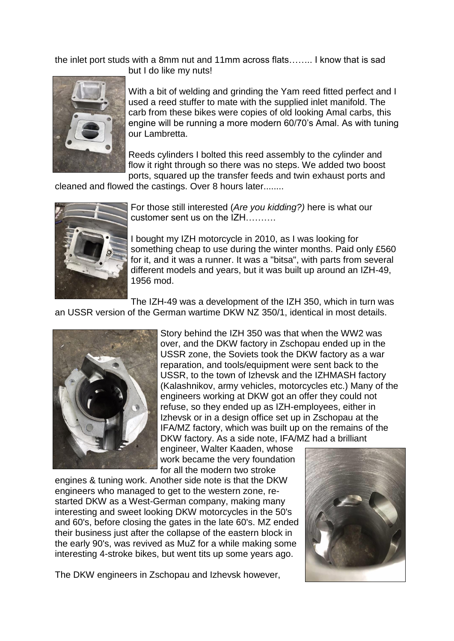the inlet port studs with a 8mm nut and 11mm across flats…….. I know that is sad but I do like my nuts!



With a bit of welding and grinding the Yam reed fitted perfect and I used a reed stuffer to mate with the supplied inlet manifold. The carb from these bikes were copies of old looking Amal carbs, this engine will be running a more modern 60/70's Amal. As with tuning our Lambretta.

Reeds cylinders I bolted this reed assembly to the cylinder and flow it right through so there was no steps. We added two boost ports, squared up the transfer feeds and twin exhaust ports and

cleaned and flowed the castings. Over 8 hours later........



For those still interested (*Are you kidding?)* here is what our customer sent us on the IZH……….

I bought my IZH motorcycle in 2010, as I was looking for something cheap to use during the winter months. Paid only £560 for it, and it was a runner. It was a "bitsa", with parts from several different models and years, but it was built up around an IZH-49, 1956 mod.

The IZH-49 was a development of the IZH 350, which in turn was an USSR version of the German wartime DKW NZ 350/1, identical in most details.



Story behind the IZH 350 was that when the WW2 was over, and the DKW factory in Zschopau ended up in the USSR zone, the Soviets took the DKW factory as a war reparation, and tools/equipment were sent back to the USSR, to the town of Izhevsk and the IZHMASH factory (Kalashnikov, army vehicles, motorcycles etc.) Many of the engineers working at DKW got an offer they could not refuse, so they ended up as IZH-employees, either in Izhevsk or in a design office set up in Zschopau at the IFA/MZ factory, which was built up on the remains of the DKW factory. As a side note, IFA/MZ had a brilliant

engineer, Walter Kaaden, whose work became the very foundation for all the modern two stroke

engines & tuning work. Another side note is that the DKW engineers who managed to get to the western zone, restarted DKW as a West-German company, making many interesting and sweet looking DKW motorcycles in the 50's and 60's, before closing the gates in the late 60's. MZ ended their business just after the collapse of the eastern block in the early 90's, was revived as MuZ for a while making some interesting 4-stroke bikes, but went tits up some years ago.



The DKW engineers in Zschopau and Izhevsk however,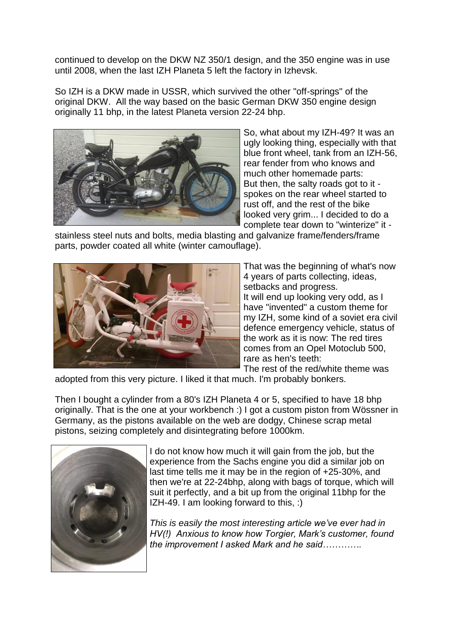continued to develop on the DKW NZ 350/1 design, and the 350 engine was in use until 2008, when the last IZH Planeta 5 left the factory in Izhevsk.

So IZH is a DKW made in USSR, which survived the other "off-springs" of the original DKW. All the way based on the basic German DKW 350 engine design originally 11 bhp, in the latest Planeta version 22-24 bhp.



So, what about my IZH-49? It was an ugly looking thing, especially with that blue front wheel, tank from an IZH-56, rear fender from who knows and much other homemade parts: But then, the salty roads got to it spokes on the rear wheel started to rust off, and the rest of the bike looked very grim... I decided to do a complete tear down to "winterize" it -

stainless steel nuts and bolts, media blasting and galvanize frame/fenders/frame parts, powder coated all white (winter camouflage).



That was the beginning of what's now 4 years of parts collecting, ideas, setbacks and progress. It will end up looking very odd, as I have "invented" a custom theme for my IZH, some kind of a soviet era civil defence emergency vehicle, status of the work as it is now: The red tires comes from an Opel Motoclub 500, rare as hen's teeth:

The rest of the red/white theme was adopted from this very picture. I liked it that much. I'm probably bonkers.

Then I bought a cylinder from a 80's IZH Planeta 4 or 5, specified to have 18 bhp originally. That is the one at your workbench :) I got a custom piston from Wössner in Germany, as the pistons available on the web are dodgy, Chinese scrap metal pistons, seizing completely and disintegrating before 1000km.



I do not know how much it will gain from the job, but the experience from the Sachs engine you did a similar job on last time tells me it may be in the region of +25-30%, and then we're at 22-24bhp, along with bags of torque, which will suit it perfectly, and a bit up from the original 11bhp for the IZH-49. I am looking forward to this, :)

*This is easily the most interesting article we've ever had in HV(!) Anxious to know how Torgier, Mark's customer, found the improvement I asked Mark and he said………….*